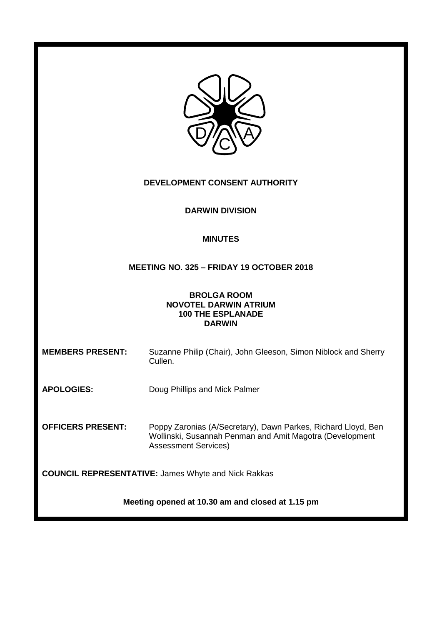| DEVELOPMENT CONSENT AUTHORITY                                                                   |                                                                                                                                                          |  |
|-------------------------------------------------------------------------------------------------|----------------------------------------------------------------------------------------------------------------------------------------------------------|--|
| <b>DARWIN DIVISION</b>                                                                          |                                                                                                                                                          |  |
| <b>MINUTES</b>                                                                                  |                                                                                                                                                          |  |
| MEETING NO. 325 - FRIDAY 19 OCTOBER 2018                                                        |                                                                                                                                                          |  |
| <b>BROLGA ROOM</b><br><b>NOVOTEL DARWIN ATRIUM</b><br><b>100 THE ESPLANADE</b><br><b>DARWIN</b> |                                                                                                                                                          |  |
| <b>MEMBERS PRESENT:</b>                                                                         | Suzanne Philip (Chair), John Gleeson, Simon Niblock and Sherry<br>Cullen.                                                                                |  |
| <b>APOLOGIES:</b>                                                                               | Doug Phillips and Mick Palmer                                                                                                                            |  |
| <b>OFFICERS PRESENT:</b>                                                                        | Poppy Zaronias (A/Secretary), Dawn Parkes, Richard Lloyd, Ben<br>Wollinski, Susannah Penman and Amit Magotra (Development<br><b>Assessment Services)</b> |  |
| <b>COUNCIL REPRESENTATIVE: James Whyte and Nick Rakkas</b>                                      |                                                                                                                                                          |  |
| Meeting opened at 10.30 am and closed at 1.15 pm                                                |                                                                                                                                                          |  |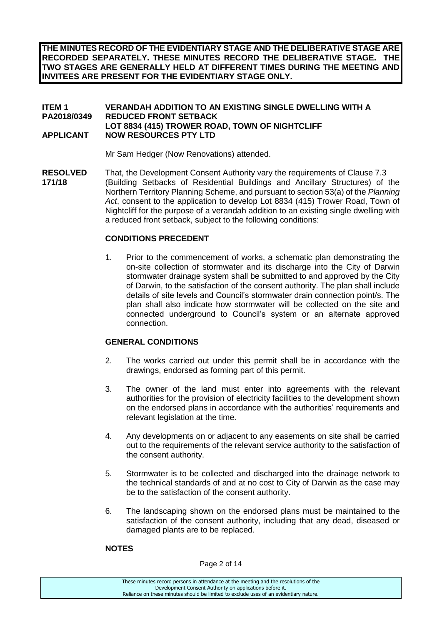**THE MINUTES RECORD OF THE EVIDENTIARY STAGE AND THE DELIBERATIVE STAGE ARE RECORDED SEPARATELY. THESE MINUTES RECORD THE DELIBERATIVE STAGE. THE TWO STAGES ARE GENERALLY HELD AT DIFFERENT TIMES DURING THE MEETING AND INVITEES ARE PRESENT FOR THE EVIDENTIARY STAGE ONLY.**

## **ITEM 1 VERANDAH ADDITION TO AN EXISTING SINGLE DWELLING WITH A PA2018/0349 REDUCED FRONT SETBACK LOT 8834 (415) TROWER ROAD, TOWN OF NIGHTCLIFF APPLICANT NOW RESOURCES PTY LTD**

Mr Sam Hedger (Now Renovations) attended.

**RESOLVED** That, the Development Consent Authority vary the requirements of Clause 7.3 **171/18** (Building Setbacks of Residential Buildings and Ancillary Structures) of the Northern Territory Planning Scheme, and pursuant to section 53(a) of the *Planning Act*, consent to the application to develop Lot 8834 (415) Trower Road, Town of Nightcliff for the purpose of a verandah addition to an existing single dwelling with a reduced front setback, subject to the following conditions:

## **CONDITIONS PRECEDENT**

1. Prior to the commencement of works, a schematic plan demonstrating the on-site collection of stormwater and its discharge into the City of Darwin stormwater drainage system shall be submitted to and approved by the City of Darwin, to the satisfaction of the consent authority. The plan shall include details of site levels and Council's stormwater drain connection point/s. The plan shall also indicate how stormwater will be collected on the site and connected underground to Council's system or an alternate approved connection.

### **GENERAL CONDITIONS**

- 2. The works carried out under this permit shall be in accordance with the drawings, endorsed as forming part of this permit.
- 3. The owner of the land must enter into agreements with the relevant authorities for the provision of electricity facilities to the development shown on the endorsed plans in accordance with the authorities' requirements and relevant legislation at the time.
- 4. Any developments on or adjacent to any easements on site shall be carried out to the requirements of the relevant service authority to the satisfaction of the consent authority.
- 5. Stormwater is to be collected and discharged into the drainage network to the technical standards of and at no cost to City of Darwin as the case may be to the satisfaction of the consent authority.
- 6. The landscaping shown on the endorsed plans must be maintained to the satisfaction of the consent authority, including that any dead, diseased or damaged plants are to be replaced.

## **NOTES**

Page 2 of 14

| These minutes record persons in attendance at the meeting and the resolutions of the  |
|---------------------------------------------------------------------------------------|
| Development Consent Authority on applications before it.                              |
| Reliance on these minutes should be limited to exclude uses of an evidentiary nature. |
|                                                                                       |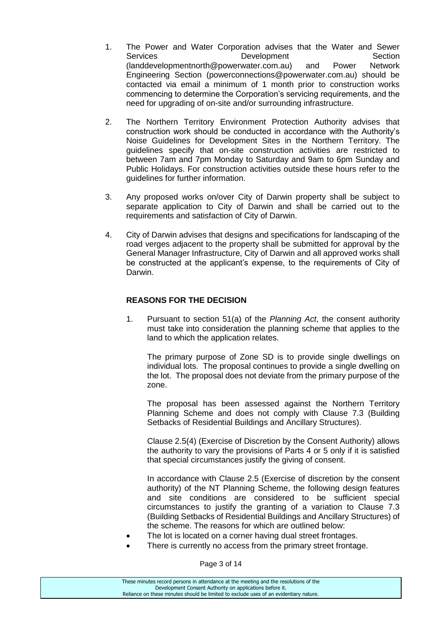- 1. The Power and Water Corporation advises that the Water and Sewer<br>Services **Development** Section Services Development (landdevelopmentnorth@powerwater.com.au) and Power Network Engineering Section (powerconnections@powerwater.com.au) should be contacted via email a minimum of 1 month prior to construction works commencing to determine the Corporation's servicing requirements, and the need for upgrading of on-site and/or surrounding infrastructure.
- 2. The Northern Territory Environment Protection Authority advises that construction work should be conducted in accordance with the Authority's Noise Guidelines for Development Sites in the Northern Territory. The guidelines specify that on-site construction activities are restricted to between 7am and 7pm Monday to Saturday and 9am to 6pm Sunday and Public Holidays. For construction activities outside these hours refer to the guidelines for further information.
- 3. Any proposed works on/over City of Darwin property shall be subject to separate application to City of Darwin and shall be carried out to the requirements and satisfaction of City of Darwin.
- 4. City of Darwin advises that designs and specifications for landscaping of the road verges adjacent to the property shall be submitted for approval by the General Manager Infrastructure, City of Darwin and all approved works shall be constructed at the applicant's expense, to the requirements of City of Darwin.

# **REASONS FOR THE DECISION**

1. Pursuant to section 51(a) of the *Planning Act*, the consent authority must take into consideration the planning scheme that applies to the land to which the application relates.

The primary purpose of Zone SD is to provide single dwellings on individual lots. The proposal continues to provide a single dwelling on the lot. The proposal does not deviate from the primary purpose of the zone.

The proposal has been assessed against the Northern Territory Planning Scheme and does not comply with Clause 7.3 (Building Setbacks of Residential Buildings and Ancillary Structures).

Clause 2.5(4) (Exercise of Discretion by the Consent Authority) allows the authority to vary the provisions of Parts 4 or 5 only if it is satisfied that special circumstances justify the giving of consent.

In accordance with Clause 2.5 (Exercise of discretion by the consent authority) of the NT Planning Scheme, the following design features and site conditions are considered to be sufficient special circumstances to justify the granting of a variation to Clause 7.3 (Building Setbacks of Residential Buildings and Ancillary Structures) of the scheme. The reasons for which are outlined below:

- The lot is located on a corner having dual street frontages.
- There is currently no access from the primary street frontage.

Page 3 of 14

| These minutes record persons in attendance at the meeting and the resolutions of the  |
|---------------------------------------------------------------------------------------|
| Development Consent Authority on applications before it.                              |
| Reliance on these minutes should be limited to exclude uses of an evidentiary nature. |
|                                                                                       |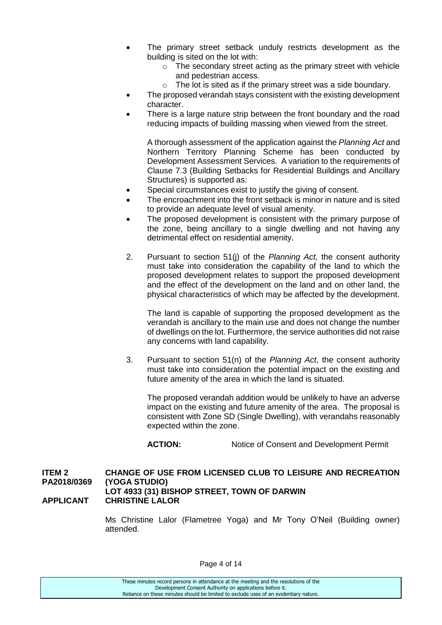- The primary street setback unduly restricts development as the building is sited on the lot with:
	- o The secondary street acting as the primary street with vehicle and pedestrian access.
	- o The lot is sited as if the primary street was a side boundary.
- The proposed verandah stays consistent with the existing development character.
- There is a large nature strip between the front boundary and the road reducing impacts of building massing when viewed from the street.

A thorough assessment of the application against the *Planning Act* and Northern Territory Planning Scheme has been conducted by Development Assessment Services. A variation to the requirements of Clause 7.3 (Building Setbacks for Residential Buildings and Ancillary Structures) is supported as:

- Special circumstances exist to justify the giving of consent.
- The encroachment into the front setback is minor in nature and is sited to provide an adequate level of visual amenity.
- The proposed development is consistent with the primary purpose of the zone, being ancillary to a single dwelling and not having any detrimental effect on residential amenity.
- 2. Pursuant to section 51(j) of the *Planning Act,* the consent authority must take into consideration the capability of the land to which the proposed development relates to support the proposed development and the effect of the development on the land and on other land, the physical characteristics of which may be affected by the development.

The land is capable of supporting the proposed development as the verandah is ancillary to the main use and does not change the number of dwellings on the lot. Furthermore, the service authorities did not raise any concerns with land capability.

3. Pursuant to section 51(n) of the *Planning Act*, the consent authority must take into consideration the potential impact on the existing and future amenity of the area in which the land is situated.

The proposed verandah addition would be unlikely to have an adverse impact on the existing and future amenity of the area. The proposal is consistent with Zone SD (Single Dwelling), with verandahs reasonably expected within the zone.

**ACTION:** Notice of Consent and Development Permit

#### **ITEM 2 CHANGE OF USE FROM LICENSED CLUB TO LEISURE AND RECREATION PA2018/0369 (YOGA STUDIO) LOT 4933 (31) BISHOP STREET, TOWN OF DARWIN APPLICANT CHRISTINE LALOR**

Ms Christine Lalor (Flametree Yoga) and Mr Tony O'Neil (Building owner) attended.

| These minutes record persons in attendance at the meeting and the resolutions of the  |
|---------------------------------------------------------------------------------------|
| Development Consent Authority on applications before it.                              |
| Reliance on these minutes should be limited to exclude uses of an evidentiary nature. |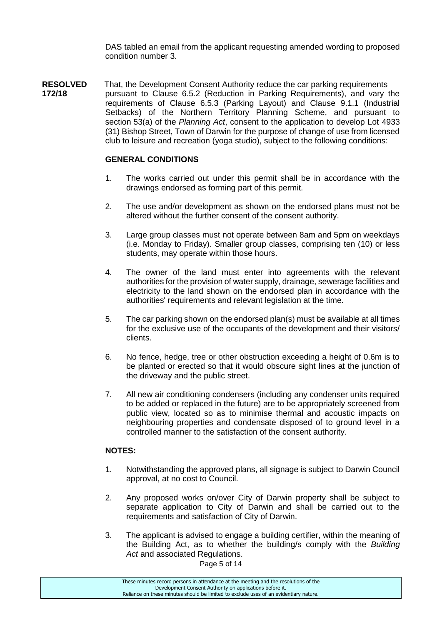DAS tabled an email from the applicant requesting amended wording to proposed condition number 3.

**RESOLVED** That, the Development Consent Authority reduce the car parking requirements **172/18** pursuant to Clause 6.5.2 (Reduction in Parking Requirements), and vary the requirements of Clause 6.5.3 (Parking Layout) and Clause 9.1.1 (Industrial Setbacks) of the Northern Territory Planning Scheme, and pursuant to section 53(a) of the *Planning Act*, consent to the application to develop Lot 4933 (31) Bishop Street, Town of Darwin for the purpose of change of use from licensed club to leisure and recreation (yoga studio), subject to the following conditions:

#### **GENERAL CONDITIONS**

- 1. The works carried out under this permit shall be in accordance with the drawings endorsed as forming part of this permit.
- 2. The use and/or development as shown on the endorsed plans must not be altered without the further consent of the consent authority.
- 3. Large group classes must not operate between 8am and 5pm on weekdays (i.e. Monday to Friday). Smaller group classes, comprising ten (10) or less students, may operate within those hours.
- 4. The owner of the land must enter into agreements with the relevant authorities for the provision of water supply, drainage, sewerage facilities and electricity to the land shown on the endorsed plan in accordance with the authorities' requirements and relevant legislation at the time.
- 5. The car parking shown on the endorsed plan(s) must be available at all times for the exclusive use of the occupants of the development and their visitors/ clients.
- 6. No fence, hedge, tree or other obstruction exceeding a height of 0.6m is to be planted or erected so that it would obscure sight lines at the junction of the driveway and the public street.
- 7. All new air conditioning condensers (including any condenser units required to be added or replaced in the future) are to be appropriately screened from public view, located so as to minimise thermal and acoustic impacts on neighbouring properties and condensate disposed of to ground level in a controlled manner to the satisfaction of the consent authority.

## **NOTES:**

- 1. Notwithstanding the approved plans, all signage is subject to Darwin Council approval, at no cost to Council.
- 2. Any proposed works on/over City of Darwin property shall be subject to separate application to City of Darwin and shall be carried out to the requirements and satisfaction of City of Darwin.
- 3. The applicant is advised to engage a building certifier, within the meaning of the Building Act, as to whether the building/s comply with the *Building Act* and associated Regulations.

Page 5 of 14

These minutes record persons in attendance at the meeting and the resolutions of the Development Consent Authority on applications before it. Reliance on these minutes should be limited to exclude uses of an evidentiary nature.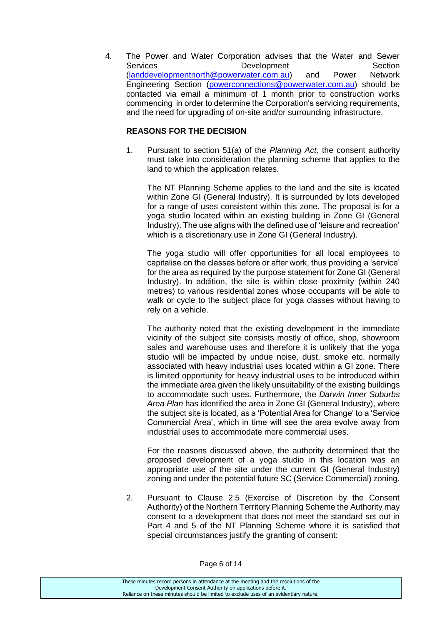4. The Power and Water Corporation advises that the Water and Sewer Services **Development** Development Section [\(landdevelopmentnorth@powerwater.com.au\)](mailto:landdevelopmentnorth@powerwater.com.au) and Power Network Engineering Section [\(powerconnections@powerwater.com.au\)](mailto:powerconnections@powerwater.com.au) should be contacted via email a minimum of 1 month prior to construction works commencing in order to determine the Corporation's servicing requirements, and the need for upgrading of on-site and/or surrounding infrastructure.

## **REASONS FOR THE DECISION**

1. Pursuant to section 51(a) of the *Planning Act,* the consent authority must take into consideration the planning scheme that applies to the land to which the application relates.

The NT Planning Scheme applies to the land and the site is located within Zone GI (General Industry). It is surrounded by lots developed for a range of uses consistent within this zone. The proposal is for a yoga studio located within an existing building in Zone GI (General Industry). The use aligns with the defined use of 'leisure and recreation' which is a discretionary use in Zone GI (General Industry).

The yoga studio will offer opportunities for all local employees to capitalise on the classes before or after work, thus providing a 'service' for the area as required by the purpose statement for Zone GI (General Industry). In addition, the site is within close proximity (within 240 metres) to various residential zones whose occupants will be able to walk or cycle to the subject place for yoga classes without having to rely on a vehicle.

The authority noted that the existing development in the immediate vicinity of the subject site consists mostly of office, shop, showroom sales and warehouse uses and therefore it is unlikely that the yoga studio will be impacted by undue noise, dust, smoke etc. normally associated with heavy industrial uses located within a GI zone. There is limited opportunity for heavy industrial uses to be introduced within the immediate area given the likely unsuitability of the existing buildings to accommodate such uses. Furthermore, the *Darwin Inner Suburbs Area Plan* has identified the area in Zone GI (General Industry), where the subject site is located, as a 'Potential Area for Change' to a 'Service Commercial Area', which in time will see the area evolve away from industrial uses to accommodate more commercial uses.

For the reasons discussed above, the authority determined that the proposed development of a yoga studio in this location was an appropriate use of the site under the current GI (General Industry) zoning and under the potential future SC (Service Commercial) zoning.

2. Pursuant to Clause 2.5 (Exercise of Discretion by the Consent Authority) of the Northern Territory Planning Scheme the Authority may consent to a development that does not meet the standard set out in Part 4 and 5 of the NT Planning Scheme where it is satisfied that special circumstances justify the granting of consent: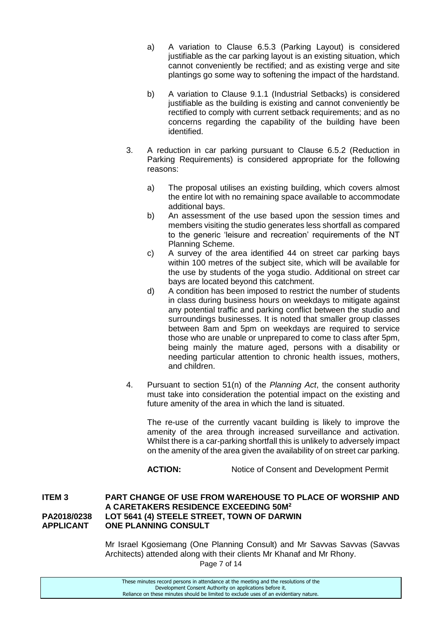- a) A variation to Clause 6.5.3 (Parking Layout) is considered justifiable as the car parking layout is an existing situation, which cannot conveniently be rectified; and as existing verge and site plantings go some way to softening the impact of the hardstand.
- b) A variation to Clause 9.1.1 (Industrial Setbacks) is considered justifiable as the building is existing and cannot conveniently be rectified to comply with current setback requirements; and as no concerns regarding the capability of the building have been identified.
- 3. A reduction in car parking pursuant to Clause 6.5.2 (Reduction in Parking Requirements) is considered appropriate for the following reasons:
	- a) The proposal utilises an existing building, which covers almost the entire lot with no remaining space available to accommodate additional bays.
	- b) An assessment of the use based upon the session times and members visiting the studio generates less shortfall as compared to the generic 'leisure and recreation' requirements of the NT Planning Scheme.
	- c) A survey of the area identified 44 on street car parking bays within 100 metres of the subject site, which will be available for the use by students of the yoga studio. Additional on street car bays are located beyond this catchment.
	- d) A condition has been imposed to restrict the number of students in class during business hours on weekdays to mitigate against any potential traffic and parking conflict between the studio and surroundings businesses. It is noted that smaller group classes between 8am and 5pm on weekdays are required to service those who are unable or unprepared to come to class after 5pm, being mainly the mature aged, persons with a disability or needing particular attention to chronic health issues, mothers, and children.
- 4. Pursuant to section 51(n) of the *Planning Act*, the consent authority must take into consideration the potential impact on the existing and future amenity of the area in which the land is situated.

The re-use of the currently vacant building is likely to improve the amenity of the area through increased surveillance and activation. Whilst there is a car-parking shortfall this is unlikely to adversely impact on the amenity of the area given the availability of on street car parking.

ACTION: Notice of Consent and Development Permit

## **ITEM 3 PART CHANGE OF USE FROM WAREHOUSE TO PLACE OF WORSHIP AND A CARETAKERS RESIDENCE EXCEEDING 50M<sup>2</sup> PA2018/0238 LOT 5641 (4) STEELE STREET, TOWN OF DARWIN APPLICANT ONE PLANNING CONSULT**

Mr Israel Kgosiemang (One Planning Consult) and Mr Savvas Savvas (Savvas Architects) attended along with their clients Mr Khanaf and Mr Rhony.

Page 7 of 14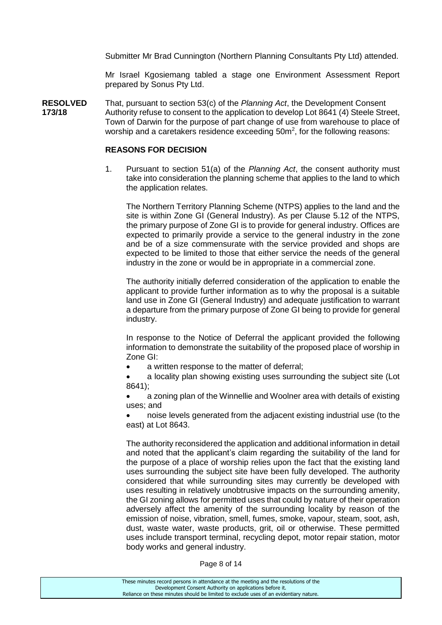Submitter Mr Brad Cunnington (Northern Planning Consultants Pty Ltd) attended.

Mr Israel Kgosiemang tabled a stage one Environment Assessment Report prepared by Sonus Pty Ltd.

**RESOLVED** That, pursuant to section 53(c) of the *Planning Act*, the Development Consent **173/18** Authority refuse to consent to the application to develop Lot 8641 (4) Steele Street, Town of Darwin for the purpose of part change of use from warehouse to place of worship and a caretakers residence exceeding  $50m^2$ , for the following reasons:

#### **REASONS FOR DECISION**

1. Pursuant to section 51(a) of the *Planning Act*, the consent authority must take into consideration the planning scheme that applies to the land to which the application relates.

The Northern Territory Planning Scheme (NTPS) applies to the land and the site is within Zone GI (General Industry). As per Clause 5.12 of the NTPS, the primary purpose of Zone GI is to provide for general industry. Offices are expected to primarily provide a service to the general industry in the zone and be of a size commensurate with the service provided and shops are expected to be limited to those that either service the needs of the general industry in the zone or would be in appropriate in a commercial zone.

The authority initially deferred consideration of the application to enable the applicant to provide further information as to why the proposal is a suitable land use in Zone GI (General Industry) and adequate justification to warrant a departure from the primary purpose of Zone GI being to provide for general industry.

In response to the Notice of Deferral the applicant provided the following information to demonstrate the suitability of the proposed place of worship in Zone GI:

a written response to the matter of deferral;

 a locality plan showing existing uses surrounding the subject site (Lot 8641);

 a zoning plan of the Winnellie and Woolner area with details of existing uses; and

 noise levels generated from the adjacent existing industrial use (to the east) at Lot 8643.

The authority reconsidered the application and additional information in detail and noted that the applicant's claim regarding the suitability of the land for the purpose of a place of worship relies upon the fact that the existing land uses surrounding the subject site have been fully developed. The authority considered that while surrounding sites may currently be developed with uses resulting in relatively unobtrusive impacts on the surrounding amenity, the GI zoning allows for permitted uses that could by nature of their operation adversely affect the amenity of the surrounding locality by reason of the emission of noise, vibration, smell, fumes, smoke, vapour, steam, soot, ash, dust, waste water, waste products, grit, oil or otherwise. These permitted uses include transport terminal, recycling depot, motor repair station, motor body works and general industry.

Page 8 of 14

| These minutes record persons in attendance at the meeting and the resolutions of the  |
|---------------------------------------------------------------------------------------|
| Development Consent Authority on applications before it.                              |
| Reliance on these minutes should be limited to exclude uses of an evidentiary nature. |
|                                                                                       |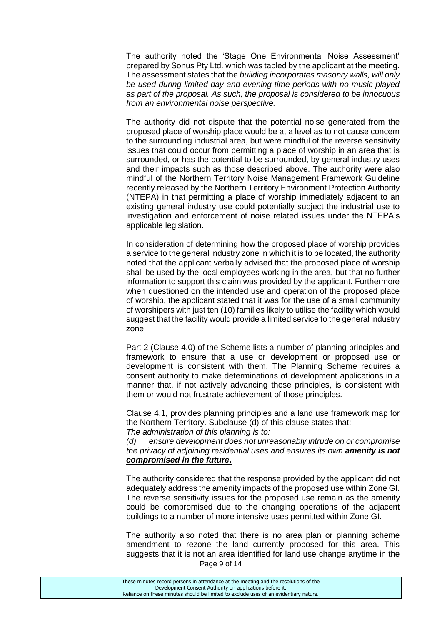The authority noted the 'Stage One Environmental Noise Assessment' prepared by Sonus Pty Ltd. which was tabled by the applicant at the meeting. The assessment states that the *building incorporates masonry walls, will only be used during limited day and evening time periods with no music played as part of the proposal. As such, the proposal is considered to be innocuous from an environmental noise perspective.*

The authority did not dispute that the potential noise generated from the proposed place of worship place would be at a level as to not cause concern to the surrounding industrial area, but were mindful of the reverse sensitivity issues that could occur from permitting a place of worship in an area that is surrounded, or has the potential to be surrounded, by general industry uses and their impacts such as those described above. The authority were also mindful of the Northern Territory Noise Management Framework Guideline recently released by the Northern Territory Environment Protection Authority (NTEPA) in that permitting a place of worship immediately adjacent to an existing general industry use could potentially subject the industrial use to investigation and enforcement of noise related issues under the NTEPA's applicable legislation.

In consideration of determining how the proposed place of worship provides a service to the general industry zone in which it is to be located, the authority noted that the applicant verbally advised that the proposed place of worship shall be used by the local employees working in the area, but that no further information to support this claim was provided by the applicant. Furthermore when questioned on the intended use and operation of the proposed place of worship, the applicant stated that it was for the use of a small community of worshipers with just ten (10) families likely to utilise the facility which would suggest that the facility would provide a limited service to the general industry zone.

Part 2 (Clause 4.0) of the Scheme lists a number of planning principles and framework to ensure that a use or development or proposed use or development is consistent with them. The Planning Scheme requires a consent authority to make determinations of development applications in a manner that, if not actively advancing those principles, is consistent with them or would not frustrate achievement of those principles.

Clause 4.1, provides planning principles and a land use framework map for the Northern Territory. Subclause (d) of this clause states that:

*The administration of this planning is to:* 

*(d) ensure development does not unreasonably intrude on or compromise the privacy of adjoining residential uses and ensures its own amenity is not compromised in the future***.**

The authority considered that the response provided by the applicant did not adequately address the amenity impacts of the proposed use within Zone GI. The reverse sensitivity issues for the proposed use remain as the amenity could be compromised due to the changing operations of the adjacent buildings to a number of more intensive uses permitted within Zone GI.

Page 9 of 14 The authority also noted that there is no area plan or planning scheme amendment to rezone the land currently proposed for this area. This suggests that it is not an area identified for land use change anytime in the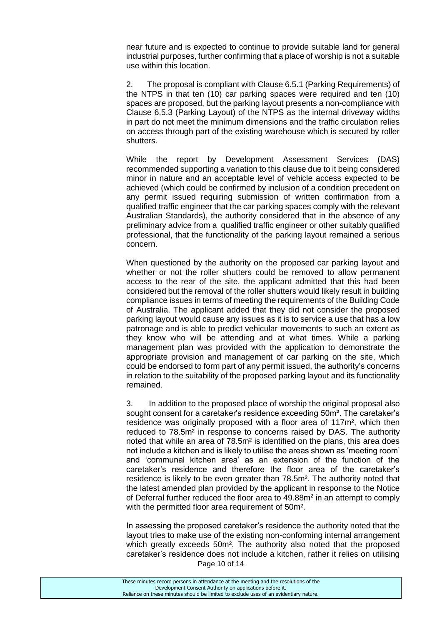near future and is expected to continue to provide suitable land for general industrial purposes, further confirming that a place of worship is not a suitable use within this location.

2. The proposal is compliant with Clause 6.5.1 (Parking Requirements) of the NTPS in that ten (10) car parking spaces were required and ten (10) spaces are proposed, but the parking layout presents a non-compliance with Clause 6.5.3 (Parking Layout) of the NTPS as the internal driveway widths in part do not meet the minimum dimensions and the traffic circulation relies on access through part of the existing warehouse which is secured by roller shutters.

While the report by Development Assessment Services (DAS) recommended supporting a variation to this clause due to it being considered minor in nature and an acceptable level of vehicle access expected to be achieved (which could be confirmed by inclusion of a condition precedent on any permit issued requiring submission of written confirmation from a qualified traffic engineer that the car parking spaces comply with the relevant Australian Standards), the authority considered that in the absence of any preliminary advice from a qualified traffic engineer or other suitably qualified professional, that the functionality of the parking layout remained a serious concern.

When questioned by the authority on the proposed car parking layout and whether or not the roller shutters could be removed to allow permanent access to the rear of the site, the applicant admitted that this had been considered but the removal of the roller shutters would likely result in building compliance issues in terms of meeting the requirements of the Building Code of Australia. The applicant added that they did not consider the proposed parking layout would cause any issues as it is to service a use that has a low patronage and is able to predict vehicular movements to such an extent as they know who will be attending and at what times. While a parking management plan was provided with the application to demonstrate the appropriate provision and management of car parking on the site, which could be endorsed to form part of any permit issued, the authority's concerns in relation to the suitability of the proposed parking layout and its functionality remained.

3. In addition to the proposed place of worship the original proposal also sought consent for a caretaker's residence exceeding 50m². The caretaker's residence was originally proposed with a floor area of 117m², which then reduced to 78.5m² in response to concerns raised by DAS. The authority noted that while an area of 78.5m² is identified on the plans, this area does not include a kitchen and is likely to utilise the areas shown as 'meeting room' and 'communal kitchen area' as an extension of the function of the caretaker's residence and therefore the floor area of the caretaker's residence is likely to be even greater than 78.5m². The authority noted that the latest amended plan provided by the applicant in response to the Notice of Deferral further reduced the floor area to 49.88m<sup>2</sup> in an attempt to comply with the permitted floor area requirement of 50m².

Page 10 of 14 In assessing the proposed caretaker's residence the authority noted that the layout tries to make use of the existing non-conforming internal arrangement which greatly exceeds 50m². The authority also noted that the proposed caretaker's residence does not include a kitchen, rather it relies on utilising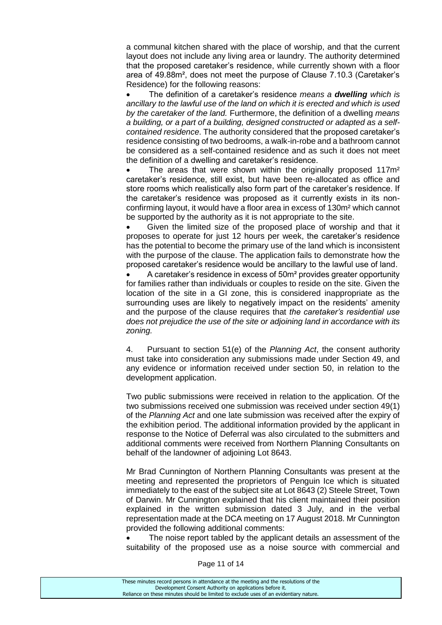a communal kitchen shared with the place of worship, and that the current layout does not include any living area or laundry. The authority determined that the proposed caretaker's residence, while currently shown with a floor area of 49.88m², does not meet the purpose of Clause 7.10.3 (Caretaker's Residence) for the following reasons:

 The definition of a caretaker's residence *means a dwelling which is ancillary to the lawful use of the land on which it is erected and which is used by the caretaker of the land.* Furthermore, the definition of a dwelling *means a building, or a part of a building, designed constructed or adapted as a selfcontained residence*. The authority considered that the proposed caretaker's residence consisting of two bedrooms, a walk-in-robe and a bathroom cannot be considered as a self-contained residence and as such it does not meet the definition of a dwelling and caretaker's residence.

The areas that were shown within the originally proposed 117m<sup>2</sup> caretaker's residence, still exist, but have been re-allocated as office and store rooms which realistically also form part of the caretaker's residence. If the caretaker's residence was proposed as it currently exists in its nonconfirming layout, it would have a floor area in excess of 130m² which cannot be supported by the authority as it is not appropriate to the site.

 Given the limited size of the proposed place of worship and that it proposes to operate for just 12 hours per week, the caretaker's residence has the potential to become the primary use of the land which is inconsistent with the purpose of the clause. The application fails to demonstrate how the proposed caretaker's residence would be ancillary to the lawful use of land.

 A caretaker's residence in excess of 50m² provides greater opportunity for families rather than individuals or couples to reside on the site. Given the location of the site in a GI zone, this is considered inappropriate as the surrounding uses are likely to negatively impact on the residents' amenity and the purpose of the clause requires that *the caretaker's residential use does not prejudice the use of the site or adjoining land in accordance with its zoning.*

4. Pursuant to section 51(e) of the *Planning Act*, the consent authority must take into consideration any submissions made under Section 49, and any evidence or information received under section 50, in relation to the development application.

Two public submissions were received in relation to the application. Of the two submissions received one submission was received under section 49(1) of the *Planning Act* and one late submission was received after the expiry of the exhibition period. The additional information provided by the applicant in response to the Notice of Deferral was also circulated to the submitters and additional comments were received from Northern Planning Consultants on behalf of the landowner of adjoining Lot 8643.

Mr Brad Cunnington of Northern Planning Consultants was present at the meeting and represented the proprietors of Penguin Ice which is situated immediately to the east of the subject site at Lot 8643 (2) Steele Street, Town of Darwin. Mr Cunnington explained that his client maintained their position explained in the written submission dated 3 July, and in the verbal representation made at the DCA meeting on 17 August 2018. Mr Cunnington provided the following additional comments:

 The noise report tabled by the applicant details an assessment of the suitability of the proposed use as a noise source with commercial and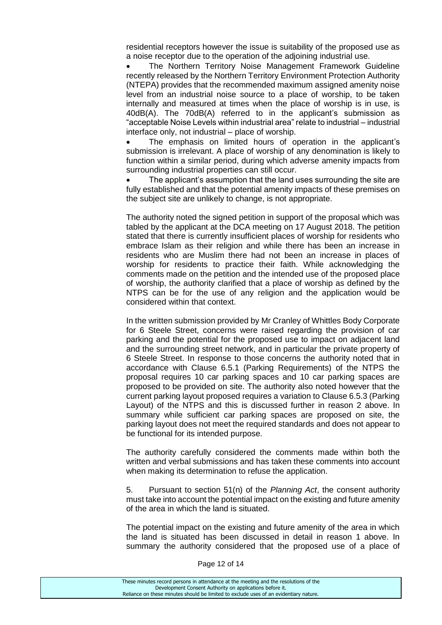residential receptors however the issue is suitability of the proposed use as a noise receptor due to the operation of the adjoining industrial use.

 The Northern Territory Noise Management Framework Guideline recently released by the Northern Territory Environment Protection Authority (NTEPA) provides that the recommended maximum assigned amenity noise level from an industrial noise source to a place of worship, to be taken internally and measured at times when the place of worship is in use, is 40dB(A). The 70dB(A) referred to in the applicant's submission as "acceptable Noise Levels within industrial area" relate to industrial – industrial interface only, not industrial – place of worship.

 The emphasis on limited hours of operation in the applicant's submission is irrelevant. A place of worship of any denomination is likely to function within a similar period, during which adverse amenity impacts from surrounding industrial properties can still occur.

 The applicant's assumption that the land uses surrounding the site are fully established and that the potential amenity impacts of these premises on the subject site are unlikely to change, is not appropriate.

The authority noted the signed petition in support of the proposal which was tabled by the applicant at the DCA meeting on 17 August 2018. The petition stated that there is currently insufficient places of worship for residents who embrace Islam as their religion and while there has been an increase in residents who are Muslim there had not been an increase in places of worship for residents to practice their faith. While acknowledging the comments made on the petition and the intended use of the proposed place of worship, the authority clarified that a place of worship as defined by the NTPS can be for the use of any religion and the application would be considered within that context.

In the written submission provided by Mr Cranley of Whittles Body Corporate for 6 Steele Street, concerns were raised regarding the provision of car parking and the potential for the proposed use to impact on adjacent land and the surrounding street network, and in particular the private property of 6 Steele Street. In response to those concerns the authority noted that in accordance with Clause 6.5.1 (Parking Requirements) of the NTPS the proposal requires 10 car parking spaces and 10 car parking spaces are proposed to be provided on site. The authority also noted however that the current parking layout proposed requires a variation to Clause 6.5.3 (Parking Layout) of the NTPS and this is discussed further in reason 2 above. In summary while sufficient car parking spaces are proposed on site, the parking layout does not meet the required standards and does not appear to be functional for its intended purpose.

The authority carefully considered the comments made within both the written and verbal submissions and has taken these comments into account when making its determination to refuse the application.

5. Pursuant to section 51(n) of the *Planning Act*, the consent authority must take into account the potential impact on the existing and future amenity of the area in which the land is situated.

The potential impact on the existing and future amenity of the area in which the land is situated has been discussed in detail in reason 1 above. In summary the authority considered that the proposed use of a place of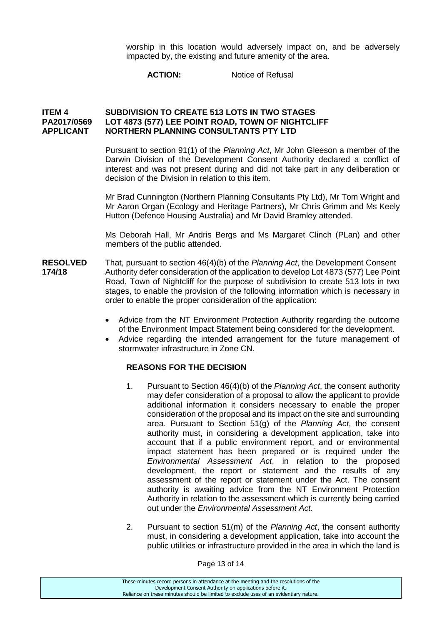worship in this location would adversely impact on, and be adversely impacted by, the existing and future amenity of the area.

**ACTION:** Notice of Refusal

## **ITEM 4 SUBDIVISION TO CREATE 513 LOTS IN TWO STAGES PA2017/0569 LOT 4873 (577) LEE POINT ROAD, TOWN OF NIGHTCLIFF APPLICANT NORTHERN PLANNING CONSULTANTS PTY LTD**

Pursuant to section 91(1) of the *Planning Act*, Mr John Gleeson a member of the Darwin Division of the Development Consent Authority declared a conflict of interest and was not present during and did not take part in any deliberation or decision of the Division in relation to this item.

Mr Brad Cunnington (Northern Planning Consultants Pty Ltd), Mr Tom Wright and Mr Aaron Organ (Ecology and Heritage Partners), Mr Chris Grimm and Ms Keely Hutton (Defence Housing Australia) and Mr David Bramley attended.

Ms Deborah Hall, Mr Andris Bergs and Ms Margaret Clinch (PLan) and other members of the public attended.

- **RESOLVED** That, pursuant to section 46(4)(b) of the *Planning Act*, the Development Consent<br>174/18 Authority defer consideration of the application to develop Lot 4873 (577) Lee Point **174/18** Authority defer consideration of the application to develop Lot 4873 (577) Lee Point Road, Town of Nightcliff for the purpose of subdivision to create 513 lots in two stages, to enable the provision of the following information which is necessary in order to enable the proper consideration of the application:
	- Advice from the NT Environment Protection Authority regarding the outcome of the Environment Impact Statement being considered for the development.
	- Advice regarding the intended arrangement for the future management of stormwater infrastructure in Zone CN.

### **REASONS FOR THE DECISION**

- 1. Pursuant to Section 46(4)(b) of the *Planning Act*, the consent authority may defer consideration of a proposal to allow the applicant to provide additional information it considers necessary to enable the proper consideration of the proposal and its impact on the site and surrounding area. Pursuant to Section 51(g) of the *Planning Act*, the consent authority must, in considering a development application, take into account that if a public environment report, and or environmental impact statement has been prepared or is required under the *Environmental Assessment Act*, in relation to the proposed development, the report or statement and the results of any assessment of the report or statement under the Act. The consent authority is awaiting advice from the NT Environment Protection Authority in relation to the assessment which is currently being carried out under the *Environmental Assessment Act.*
- 2. Pursuant to section 51(m) of the *Planning Act*, the consent authority must, in considering a development application, take into account the public utilities or infrastructure provided in the area in which the land is